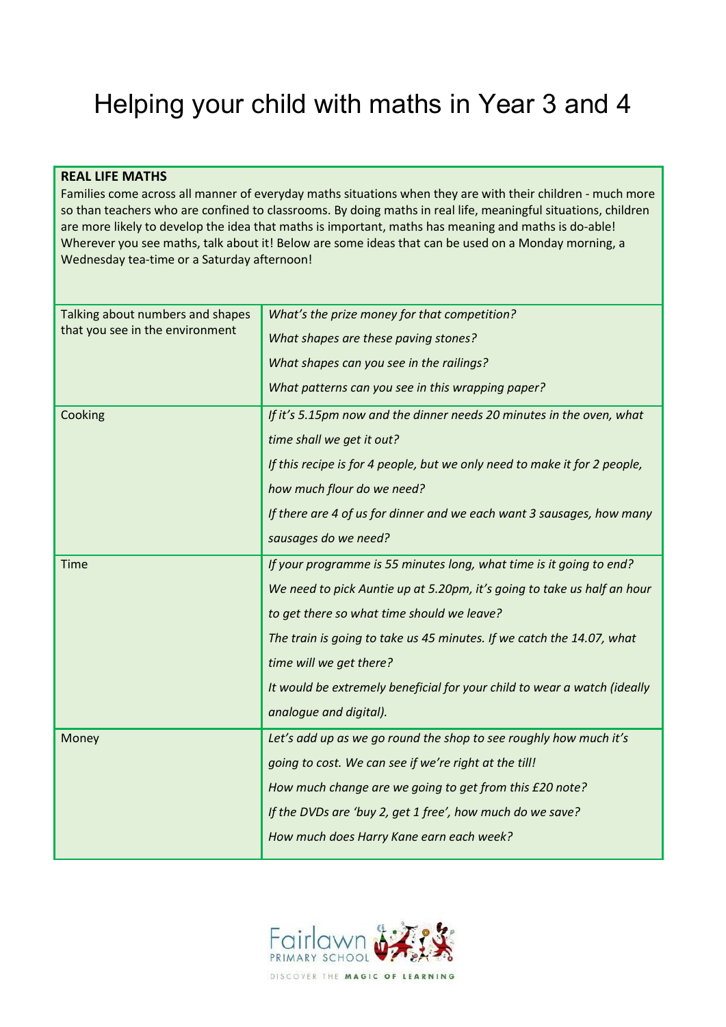# Helping your child with maths in Year 3 and 4

#### **REAL LIFE MATHS**

Families come across all manner of everyday maths situations when they are with their children - much more so than teachers who are confined to classrooms. By doing maths in real life, meaningful situations, children are more likely to develop the idea that maths is important, maths has meaning and maths is do-able! Wherever you see maths, talk about it! Below are some ideas that can be used on a Monday morning, a Wednesday tea-time or a Saturday afternoon!

| Talking about numbers and shapes | What's the prize money for that competition?                              |  |
|----------------------------------|---------------------------------------------------------------------------|--|
| that you see in the environment  | What shapes are these paving stones?                                      |  |
|                                  | What shapes can you see in the railings?                                  |  |
|                                  | What patterns can you see in this wrapping paper?                         |  |
| Cooking                          | If it's 5.15pm now and the dinner needs 20 minutes in the oven, what      |  |
|                                  | time shall we get it out?                                                 |  |
|                                  | If this recipe is for 4 people, but we only need to make it for 2 people, |  |
|                                  | how much flour do we need?                                                |  |
|                                  | If there are 4 of us for dinner and we each want 3 sausages, how many     |  |
|                                  | sausages do we need?                                                      |  |
| <b>Time</b>                      | If your programme is 55 minutes long, what time is it going to end?       |  |
|                                  | We need to pick Auntie up at 5.20pm, it's going to take us half an hour   |  |
|                                  | to get there so what time should we leave?                                |  |
|                                  | The train is going to take us 45 minutes. If we catch the 14.07, what     |  |
|                                  | time will we get there?                                                   |  |
|                                  | It would be extremely beneficial for your child to wear a watch (ideally  |  |
|                                  | analogue and digital).                                                    |  |
| Money                            | Let's add up as we go round the shop to see roughly how much it's         |  |
|                                  | going to cost. We can see if we're right at the till!                     |  |
|                                  | How much change are we going to get from this £20 note?                   |  |
|                                  | If the DVDs are 'buy 2, get 1 free', how much do we save?                 |  |
|                                  | How much does Harry Kane earn each week?                                  |  |
|                                  |                                                                           |  |

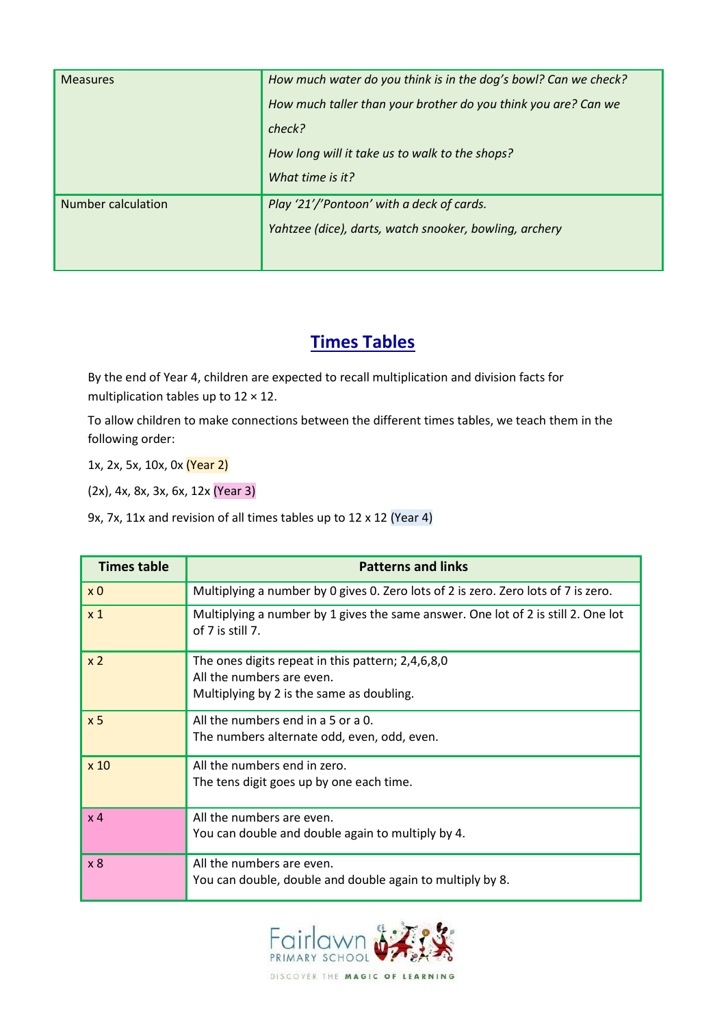| <b>Measures</b>           | How much water do you think is in the dog's bowl? Can we check? |  |
|---------------------------|-----------------------------------------------------------------|--|
|                           | How much taller than your brother do you think you are? Can we  |  |
|                           | check?                                                          |  |
|                           | How long will it take us to walk to the shops?                  |  |
|                           | What time is it?                                                |  |
| <b>Number calculation</b> | Play '21'/'Pontoon' with a deck of cards.                       |  |
|                           | Yahtzee (dice), darts, watch snooker, bowling, archery          |  |
|                           |                                                                 |  |

## **Times Tables**

By the end of Year 4, children are expected to recall multiplication and division facts for multiplication tables up to  $12 \times 12$ .

To allow children to make connections between the different times tables, we teach them in the following order:

1x, 2x, 5x, 10x, 0x (Year 2)

(2x), 4x, 8x, 3x, 6x, 12x (Year 3)

9x, 7x, 11x and revision of all times tables up to 12 x 12 (Year 4)

| <b>Times table</b> | <b>Patterns and links</b>                                                                             |  |
|--------------------|-------------------------------------------------------------------------------------------------------|--|
| x <sub>0</sub>     | Multiplying a number by 0 gives 0. Zero lots of 2 is zero. Zero lots of 7 is zero.                    |  |
| x <sub>1</sub>     | Multiplying a number by 1 gives the same answer. One lot of 2 is still 2. One lot<br>of 7 is still 7. |  |
| x <sub>2</sub>     | The ones digits repeat in this pattern; 2,4,6,8,0<br>All the numbers are even.                        |  |
|                    | Multiplying by 2 is the same as doubling.                                                             |  |
| x <sub>5</sub>     | All the numbers end in $a$ 5 or $a$ 0.                                                                |  |
|                    | The numbers alternate odd, even, odd, even.                                                           |  |
| x <sub>10</sub>    | All the numbers end in zero.                                                                          |  |
|                    | The tens digit goes up by one each time.                                                              |  |
| x <sub>4</sub>     | All the numbers are even.                                                                             |  |
|                    | You can double and double again to multiply by 4.                                                     |  |
| x8                 | All the numbers are even.                                                                             |  |
|                    | You can double, double and double again to multiply by 8.                                             |  |

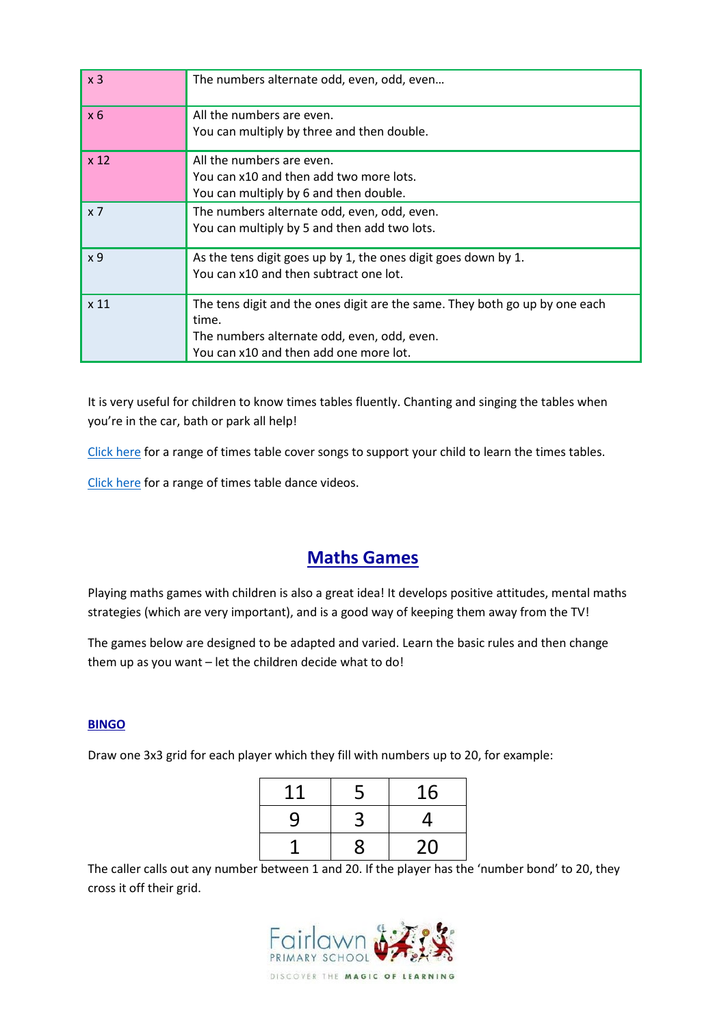| x <sub>3</sub>   | The numbers alternate odd, even, odd, even                                                                                                                                    |
|------------------|-------------------------------------------------------------------------------------------------------------------------------------------------------------------------------|
| $x_6$            | All the numbers are even.<br>You can multiply by three and then double.                                                                                                       |
| x <sub>12</sub>  | All the numbers are even.<br>You can x10 and then add two more lots.<br>You can multiply by 6 and then double.                                                                |
| $x \overline{7}$ | The numbers alternate odd, even, odd, even.<br>You can multiply by 5 and then add two lots.                                                                                   |
| x 9              | As the tens digit goes up by 1, the ones digit goes down by 1.<br>You can x10 and then subtract one lot.                                                                      |
| x 11             | The tens digit and the ones digit are the same. They both go up by one each<br>time.<br>The numbers alternate odd, even, odd, even.<br>You can x10 and then add one more lot. |

It is very useful for children to know times tables fluently. Chanting and singing the tables when you're in the car, bath or park all help!

[Click here](https://www.youtube.com/playlist?list=PLvMC7Wzm1mIF8CDTl1-QPgQGXVPAK-7lL) for a range of times table cover songs to support your child to learn the times tables.

[Click here](https://www.youtube.com/playlist?list=PLvMC7Wzm1mIFNODL7AW8WGHfTgJsKYZPv) for a range of times table dance videos.

## **Maths Games**

Playing maths games with children is also a great idea! It develops positive attitudes, mental maths strategies (which are very important), and is a good way of keeping them away from the TV!

The games below are designed to be adapted and varied. Learn the basic rules and then change them up as you want – let the children decide what to do!

#### **BINGO**

Draw one 3x3 grid for each player which they fill with numbers up to 20, for example:

| 11 | 5 | 16 |
|----|---|----|
| 9  | 3 | 4  |
|    | 8 | 20 |

The caller calls out any number between 1 and 20. If the player has the 'number bond' to 20, they cross it off their grid.

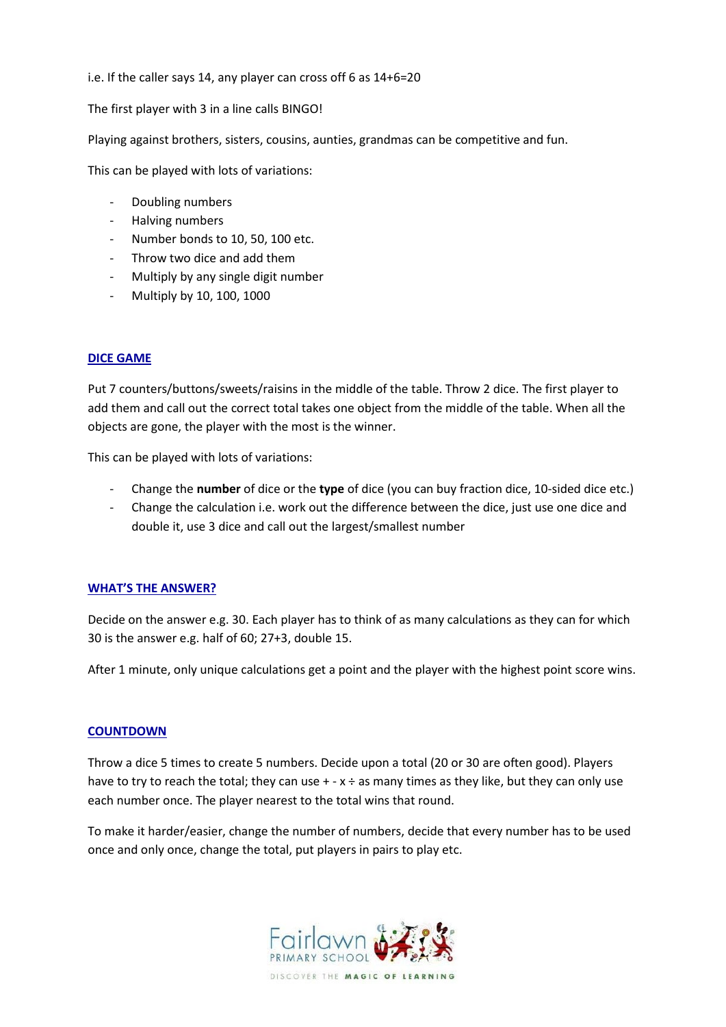i.e. If the caller says 14, any player can cross off 6 as 14+6=20

The first player with 3 in a line calls BINGO!

Playing against brothers, sisters, cousins, aunties, grandmas can be competitive and fun.

This can be played with lots of variations:

- Doubling numbers
- Halving numbers
- Number bonds to 10, 50, 100 etc.
- Throw two dice and add them
- Multiply by any single digit number
- Multiply by 10, 100, 1000

#### **DICE GAME**

Put 7 counters/buttons/sweets/raisins in the middle of the table. Throw 2 dice. The first player to add them and call out the correct total takes one object from the middle of the table. When all the objects are gone, the player with the most is the winner.

This can be played with lots of variations:

- Change the **number** of dice or the **type** of dice (you can buy fraction dice, 10-sided dice etc.)
- Change the calculation i.e. work out the difference between the dice, just use one dice and double it, use 3 dice and call out the largest/smallest number

#### **WHAT'S THE ANSWER?**

Decide on the answer e.g. 30. Each player has to think of as many calculations as they can for which 30 is the answer e.g. half of 60; 27+3, double 15.

After 1 minute, only unique calculations get a point and the player with the highest point score wins.

#### **COUNTDOWN**

Throw a dice 5 times to create 5 numbers. Decide upon a total (20 or 30 are often good). Players have to try to reach the total; they can use  $+ - x \div a$  as many times as they like, but they can only use each number once. The player nearest to the total wins that round.

To make it harder/easier, change the number of numbers, decide that every number has to be used once and only once, change the total, put players in pairs to play etc.

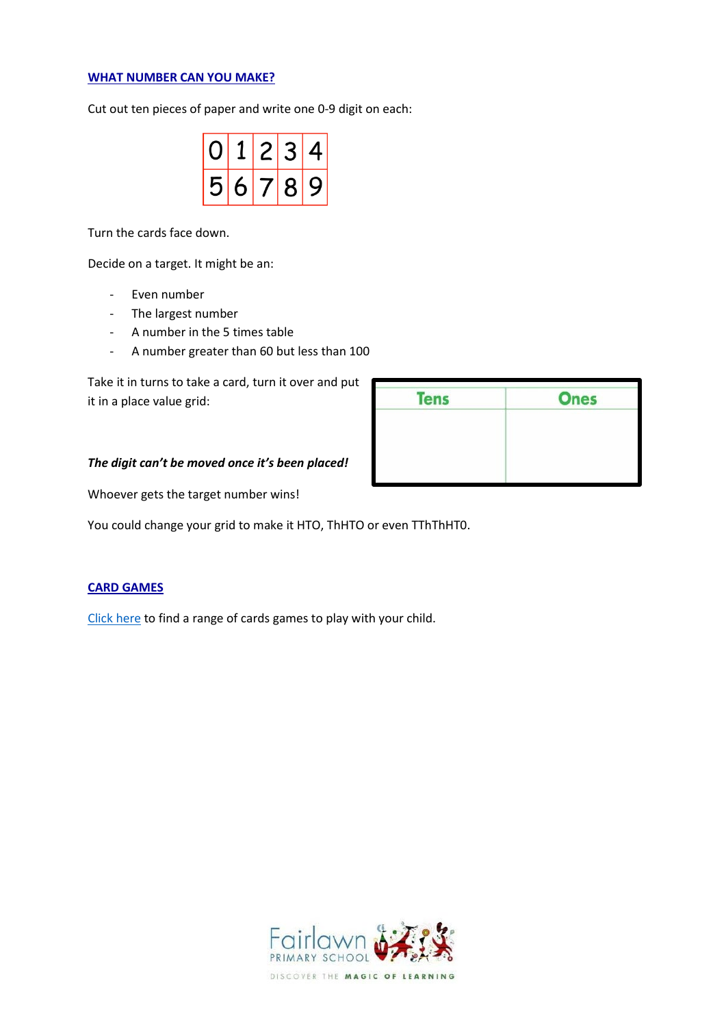#### **WHAT NUMBER CAN YOU MAKE?**

Cut out ten pieces of paper and write one 0-9 digit on each:

|    | L | $\mathcal{P}$ | ∙ ⊰ |   |
|----|---|---------------|-----|---|
| K. |   | (7)           | R.  | У |

Turn the cards face down.

Decide on a target. It might be an:

- Even number
- The largest number
- A number in the 5 times table
- A number greater than 60 but less than 100

Take it in turns to take a card, turn it over and put it in a place value grid:

| <b>Tens</b> | <b>Ones</b> |
|-------------|-------------|
|             |             |
|             |             |
|             |             |

#### *The digit can't be moved once it's been placed!*

Whoever gets the target number wins!

You could change your grid to make it HTO, ThHTO or even TThThHT0.

#### **CARD GAMES**

[Click here](https://www.weareteachers.com/math-card-games/) to find a range of cards games to play with your child.